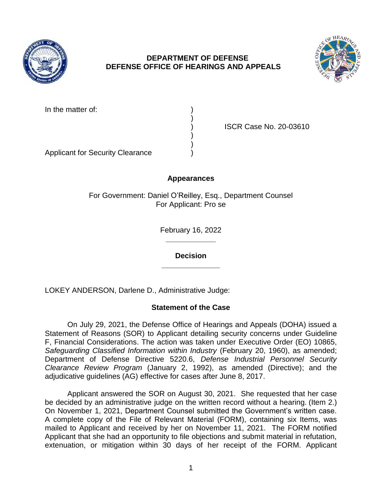

## **DEPARTMENT OF DEFENSE DEFENSE OFFICE OF HEARINGS AND APPEALS**

)

) )



In the matter of:

) ISCR Case No. 20-03610

Applicant for Security Clearance )

# **Appearances**

For Government: Daniel O'Reilley, Esq., Department Counsel For Applicant: Pro se

> **\_\_\_\_\_\_\_\_\_\_\_\_**  February 16, 2022

**\_\_\_\_\_\_\_\_\_\_\_\_\_\_ Decision** 

LOKEY ANDERSON, Darlene D., Administrative Judge:

# **Statement of the Case**

 On July 29, 2021, the Defense Office of Hearings and Appeals (DOHA) issued a Statement of Reasons (SOR) to Applicant detailing security concerns under Guideline F, Financial Considerations. The action was taken under Executive Order (EO) 10865, Safeguarding Classified Information within Industry (February 20, 1960), as amended; Department of Defense Directive 5220.6, *Defense Industrial Personnel Security Clearance Review Program* (January 2, 1992), as amended (Directive); and the adjudicative guidelines (AG) effective for cases after June 8, 2017.

 Applicant answered the SOR on August 30, 2021. She requested that her case be decided by an administrative judge on the written record without a hearing. (Item 2.) On November 1, 2021, Department Counsel submitted the Government's written case. A complete copy of the File of Relevant Material (FORM), containing six Items, was mailed to Applicant and received by her on November 11, 2021. The FORM notified Applicant that she had an opportunity to file objections and submit material in refutation, extenuation, or mitigation within 30 days of her receipt of the FORM. Applicant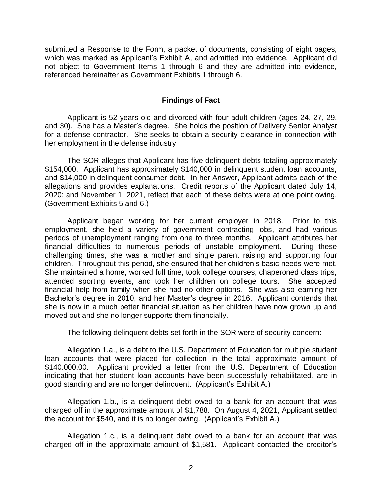submitted a Response to the Form, a packet of documents, consisting of eight pages, which was marked as Applicant's Exhibit A, and admitted into evidence. Applicant did not object to Government Items 1 through 6 and they are admitted into evidence, referenced hereinafter as Government Exhibits 1 through 6.

### **Findings of Fact**

 Applicant is 52 years old and divorced with four adult children (ages 24, 27, 29, for a defense contractor. She seeks to obtain a security clearance in connection with and 30). She has a Master's degree. She holds the position of Delivery Senior Analyst her employment in the defense industry.

 \$154,000. Applicant has approximately \$140,000 in delinquent student loan accounts, and \$14,000 in delinquent consumer debt. In her Answer, Applicant admits each of the allegations and provides explanations. Credit reports of the Applicant dated July 14, 2020; and November 1, 2021, reflect that each of these debts were at one point owing. The SOR alleges that Applicant has five delinquent debts totaling approximately (Government Exhibits 5 and 6.)

 Applicant began working for her current employer in 2018. Prior to this employment, she held a variety of government contracting jobs, and had various periods of unemployment ranging from one to three months. Applicant attributes her financial difficulties to numerous periods of unstable employment. During these challenging times, she was a mother and single parent raising and supporting four children. Throughout this period, she ensured that her children's basic needs were met. children. Throughout this period, she ensured that her children's basic needs were met.<br>She maintained a home, worked full time, took college courses, chaperoned class trips, attended sporting events, and took her children on college tours. She accepted financial help from family when she had no other options. She was also earning her Bachelor's degree in 2010, and her Master's degree in 2016. Applicant contends that she is now in a much better financial situation as her children have now grown up and moved out and she no longer supports them financially.

The following delinquent debts set forth in the SOR were of security concern:

Allegation 1.a., is a debt to the U.S. Department of Education for multiple student loan accounts that were placed for collection in the total approximate amount of \$140,000.00. Applicant provided a letter from the U.S. Department of Education indicating that her student loan accounts have been successfully rehabilitated, are in good standing and are no longer delinquent. (Applicant's Exhibit A.)

 Allegation 1.b., is a delinquent debt owed to a bank for an account that was charged off in the approximate amount of \$1,788. On August 4, 2021, Applicant settled the account for \$540, and it is no longer owing. (Applicant's Exhibit A.)

 Allegation 1.c., is a delinquent debt owed to a bank for an account that was charged off in the approximate amount of \$1,581. Applicant contacted the creditor's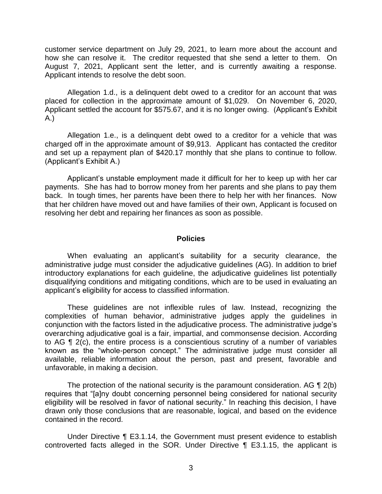customer service department on July 29, 2021, to learn more about the account and how she can resolve it. The creditor requested that she send a letter to them. On August 7, 2021, Applicant sent the letter, and is currently awaiting a response. Applicant intends to resolve the debt soon.

 Allegation 1.d., is a delinquent debt owed to a creditor for an account that was placed for collection in the approximate amount of \$1,029. On November 6, 2020, Applicant settled the account for \$575.67, and it is no longer owing. (Applicant's Exhibit A.)

 Allegation 1.e., is a delinquent debt owed to a creditor for a vehicle that was charged off in the approximate amount of \$9,913. Applicant has contacted the creditor and set up a repayment plan of \$420.17 monthly that she plans to continue to follow. (Applicant's Exhibit A.)

 Applicant's unstable employment made it difficult for her to keep up with her car payments. She has had to borrow money from her parents and she plans to pay them back. In tough times, her parents have been there to help her with her finances. Now that her children have moved out and have families of their own, Applicant is focused on resolving her debt and repairing her finances as soon as possible.

#### **Policies**

 When evaluating an applicant's suitability for a security clearance, the administrative judge must consider the adjudicative guidelines (AG). In addition to brief introductory explanations for each guideline, the adjudicative guidelines list potentially disqualifying conditions and mitigating conditions, which are to be used in evaluating an applicant's eligibility for access to classified information.

 These guidelines are not inflexible rules of law. Instead, recognizing the complexities of human behavior, administrative judges apply the guidelines in conjunction with the factors listed in the adjudicative process. The administrative judge's overarching adjudicative goal is a fair, impartial, and commonsense decision. According to AG ¶ 2(c), the entire process is a conscientious scrutiny of a number of variables known as the "whole-person concept." The administrative judge must consider all available, reliable information about the person, past and present, favorable and unfavorable, in making a decision.

The protection of the national security is the paramount consideration. AG  $\P$  2(b) eligibility will be resolved in favor of national security." In reaching this decision, I have drawn only those conclusions that are reasonable, logical, and based on the evidence requires that "[a]ny doubt concerning personnel being considered for national security contained in the record.

 Under Directive ¶ E3.1.14, the Government must present evidence to establish controverted facts alleged in the SOR. Under Directive ¶ E3.1.15, the applicant is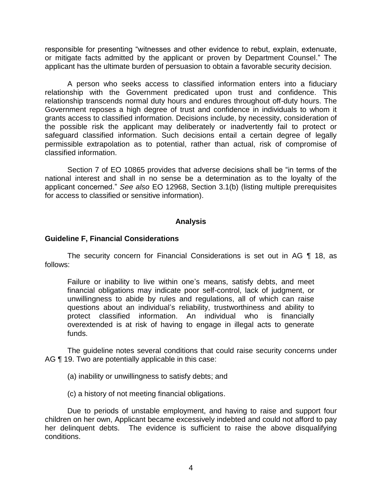responsible for presenting "witnesses and other evidence to rebut, explain, extenuate, or mitigate facts admitted by the applicant or proven by Department Counsel." The applicant has the ultimate burden of persuasion to obtain a favorable security decision.

 A person who seeks access to classified information enters into a fiduciary relationship with the Government predicated upon trust and confidence. This relationship transcends normal duty hours and endures throughout off-duty hours. The Government reposes a high degree of trust and confidence in individuals to whom it grants access to classified information. Decisions include, by necessity, consideration of the possible risk the applicant may deliberately or inadvertently fail to protect or safeguard classified information. Such decisions entail a certain degree of legally permissible extrapolation as to potential, rather than actual, risk of compromise of classified information.

 Section 7 of EO 10865 provides that adverse decisions shall be "in terms of the national interest and shall in no sense be a determination as to the loyalty of the applicant concerned." *See also* EO 12968, Section 3.1(b) (listing multiple prerequisites for access to classified or sensitive information).

### **Analysis**

### **Guideline F, Financial Considerations**

 The security concern for Financial Considerations is set out in AG ¶ 18, as follows:

 Failure or inability to live within one's means, satisfy debts, and meet financial obligations may indicate poor self-control, lack of judgment, or unwillingness to abide by rules and regulations, all of which can raise questions about an individual's reliability, trustworthiness and ability to overextended is at risk of having to engage in illegal acts to generate protect classified information. An individual who is financially funds.

 The guideline notes several conditions that could raise security concerns under AG ¶ 19. Two are potentially applicable in this case:

(a) inability or unwillingness to satisfy debts; and

(c) a history of not meeting financial obligations.

 Due to periods of unstable employment, and having to raise and support four children on her own, Applicant became excessively indebted and could not afford to pay her delinquent debts. The evidence is sufficient to raise the above disqualifying conditions.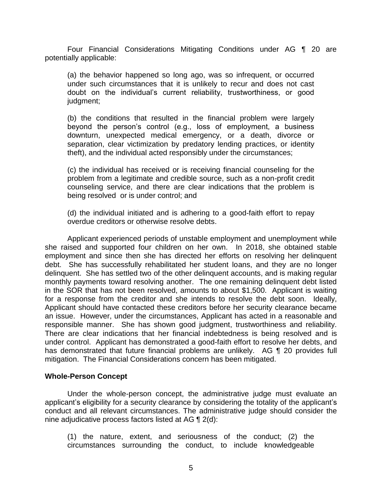Four Financial Considerations Mitigating Conditions under AG ¶ 20 are potentially applicable:

(a) the behavior happened so long ago, was so infrequent, or occurred under such circumstances that it is unlikely to recur and does not cast doubt on the individual's current reliability, trustworthiness, or good judgment;

(b) the conditions that resulted in the financial problem were largely beyond the person's control (e.g., loss of employment, a business downturn, unexpected medical emergency, or a death, divorce or separation, clear victimization by predatory lending practices, or identity theft), and the individual acted responsibly under the circumstances;

 (c) the individual has received or is receiving financial counseling for the problem from a legitimate and credible source, such as a non-profit credit counseling service, and there are clear indications that the problem is being resolved or is under control; and

 (d) the individual initiated and is adhering to a good-faith effort to repay overdue creditors or otherwise resolve debts.

 Applicant experienced periods of unstable employment and unemployment while she raised and supported four children on her own. In 2018, she obtained stable employment and since then she has directed her efforts on resolving her delinquent debt. She has successfully rehabilitated her student loans, and they are no longer delinquent. She has settled two of the other delinquent accounts, and is making regular monthly payments toward resolving another. The one remaining delinquent debt listed for a response from the creditor and she intends to resolve the debt soon. Ideally, Applicant should have contacted these creditors before her security clearance became an issue. However, under the circumstances, Applicant has acted in a reasonable and responsible manner. She has shown good judgment, trustworthiness and reliability. under control. Applicant has demonstrated a good-faith effort to resolve her debts, and in the SOR that has not been resolved, amounts to about \$1,500. Applicant is waiting There are clear indications that her financial indebtedness is being resolved and is has demonstrated that future financial problems are unlikely. AG ¶ 20 provides full mitigation. The Financial Considerations concern has been mitigated.

#### **Whole-Person Concept**

 Under the whole-person concept, the administrative judge must evaluate an applicant's eligibility for a security clearance by considering the totality of the applicant's conduct and all relevant circumstances. The administrative judge should consider the nine adjudicative process factors listed at AG ¶ 2(d):

(1) the nature, extent, and seriousness of the conduct; (2) the circumstances surrounding the conduct, to include knowledgeable